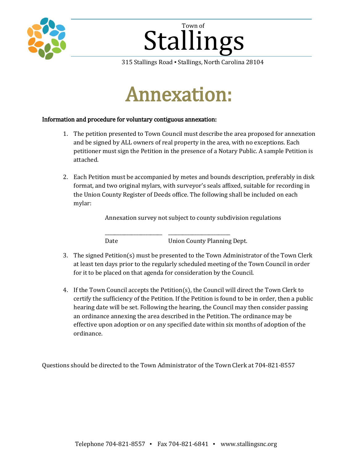

# Stallings Town of

315 Stallings Road ▪ Stallings, North Carolina 28104

# Annexation:

### Information and procedure for voluntary contiguous annexation:

- 1. The petition presented to Town Council must describe the area proposed for annexation and be signed by ALL owners of real property in the area, with no exceptions. Each petitioner must sign the Petition in the presence of a Notary Public. A sample Petition is attached.
- 2. Each Petition must be accompanied by metes and bounds description, preferably in disk format, and two original mylars, with surveyor's seals affixed, suitable for recording in the Union County Register of Deeds office. The following shall be included on each mylar:

Annexation survey not subject to county subdivision regulations

Date Union County Planning Dept.

3. The signed Petition(s) must be presented to the Town Administrator of the Town Clerk at least ten days prior to the regularly scheduled meeting of the Town Council in order for it to be placed on that agenda for consideration by the Council.

\_\_\_\_\_\_\_\_\_\_\_\_\_\_\_\_\_\_\_\_\_\_\_\_ \_\_\_\_\_\_\_\_\_\_\_\_\_\_\_\_\_\_\_\_\_\_\_\_\_\_

4. If the Town Council accepts the Petition(s), the Council will direct the Town Clerk to certify the sufficiency of the Petition. If the Petition is found to be in order, then a public hearing date will be set. Following the hearing, the Council may then consider passing an ordinance annexing the area described in the Petition. The ordinance may be effective upon adoption or on any specified date within six months of adoption of the ordinance.

Questions should be directed to the Town Administrator of the Town Clerk at 704-821-8557